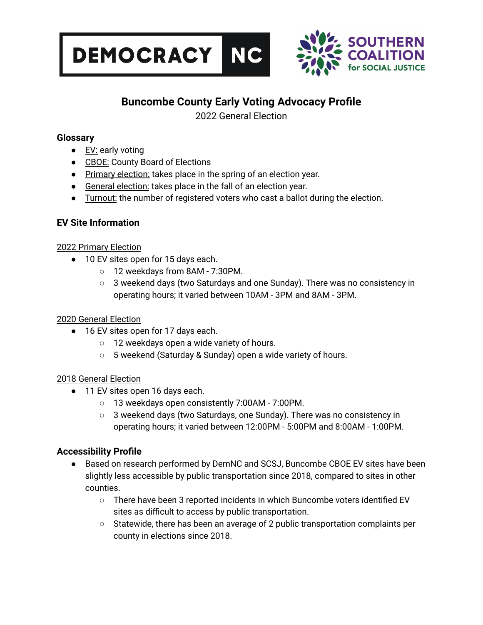



## **Buncombe County Early Voting Advocacy Profile**

2022 General Election

#### **Glossary**

- EV: early voting
- CBOE: County Board of Elections
- Primary election: takes place in the spring of an election year.
- General election: takes place in the fall of an election year.
- Turnout: the number of registered voters who cast a ballot during the election.

### **EV Site Information**

#### 2022 Primary Election

- 10 EV sites open for 15 days each.
	- 12 weekdays from 8AM 7:30PM.
	- $\circ$  3 weekend days (two Saturdays and one Sunday). There was no consistency in operating hours; it varied between 10AM - 3PM and 8AM - 3PM.

#### 2020 General Election

- 16 EV sites open for 17 days each.
	- 12 weekdays open a wide variety of hours.
	- 5 weekend (Saturday & Sunday) open a wide variety of hours.

#### 2018 General Election

- 11 EV sites open 16 days each.
	- 13 weekdays open consistently 7:00AM 7:00PM.
	- $\circ$  3 weekend days (two Saturdays, one Sunday). There was no consistency in operating hours; it varied between 12:00PM - 5:00PM and 8:00AM - 1:00PM.

#### **Accessibility Profile**

- Based on research performed by DemNC and SCSJ, Buncombe CBOE EV sites have been slightly less accessible by public transportation since 2018, compared to sites in other counties.
	- There have been 3 reported incidents in which Buncombe voters identified EV sites as difficult to access by public transportation.
	- Statewide, there has been an average of 2 public transportation complaints per county in elections since 2018.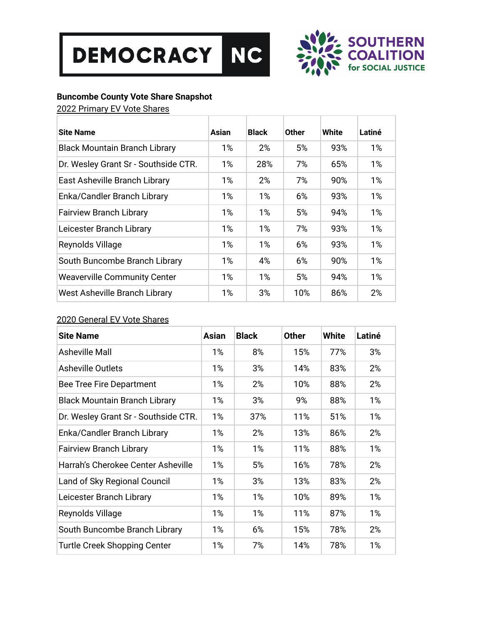



#### **Buncombe County Vote Share Snapshot**

2022 Primary EV Vote Shares

| <b>Site Name</b>                     | Asian | <b>Black</b> | <b>Other</b> | White | Latiné |
|--------------------------------------|-------|--------------|--------------|-------|--------|
| <b>Black Mountain Branch Library</b> | $1\%$ | 2%           | 5%           | 93%   | 1%     |
| Dr. Wesley Grant Sr - Southside CTR. | 1%    | 28%          | 7%           | 65%   | 1%     |
| East Asheville Branch Library        | 1%    | 2%           | 7%           | 90%   | 1%     |
| Enka/Candler Branch Library          | $1\%$ | 1%           | 6%           | 93%   | 1%     |
| <b>Fairview Branch Library</b>       | 1%    | 1%           | 5%           | 94%   | 1%     |
| Leicester Branch Library             | 1%    | 1%           | 7%           | 93%   | 1%     |
| Reynolds Village                     | $1\%$ | 1%           | 6%           | 93%   | 1%     |
| South Buncombe Branch Library        | 1%    | 4%           | 6%           | 90%   | 1%     |
| <b>Weaverville Community Center</b>  | $1\%$ | $1\%$        | 5%           | 94%   | 1%     |
| West Asheville Branch Library        | 1%    | 3%           | 10%          | 86%   | 2%     |

#### 2020 General EV Vote Shares

| <b>Site Name</b>                     | <b>Asian</b> | <b>Black</b> | <b>Other</b> | <b>White</b> | Latiné |
|--------------------------------------|--------------|--------------|--------------|--------------|--------|
| Asheville Mall                       | 1%           | 8%           | 15%          | 77%          | 3%     |
| <b>Asheville Outlets</b>             | 1%           | 3%           | 14%          | 83%          | 2%     |
| Bee Tree Fire Department             | 1%           | 2%           | 10%          | 88%          | 2%     |
| <b>Black Mountain Branch Library</b> | 1%           | 3%           | 9%           | 88%          | $1\%$  |
| Dr. Wesley Grant Sr - Southside CTR. | 1%           | 37%          | 11%          | 51%          | 1%     |
| Enka/Candler Branch Library          | 1%           | 2%           | 13%          | 86%          | 2%     |
| <b>Fairview Branch Library</b>       | 1%           | 1%           | 11%          | 88%          | $1\%$  |
| Harrah's Cherokee Center Asheville   | 1%           | 5%           | 16%          | 78%          | 2%     |
| Land of Sky Regional Council         | 1%           | 3%           | 13%          | 83%          | 2%     |
| Leicester Branch Library             | 1%           | 1%           | 10%          | 89%          | $1\%$  |
| Reynolds Village                     | 1%           | 1%           | 11%          | 87%          | $1\%$  |
| South Buncombe Branch Library        | 1%           | 6%           | 15%          | 78%          | 2%     |
| Turtle Creek Shopping Center         | 1%           | 7%           | 14%          | 78%          | 1%     |